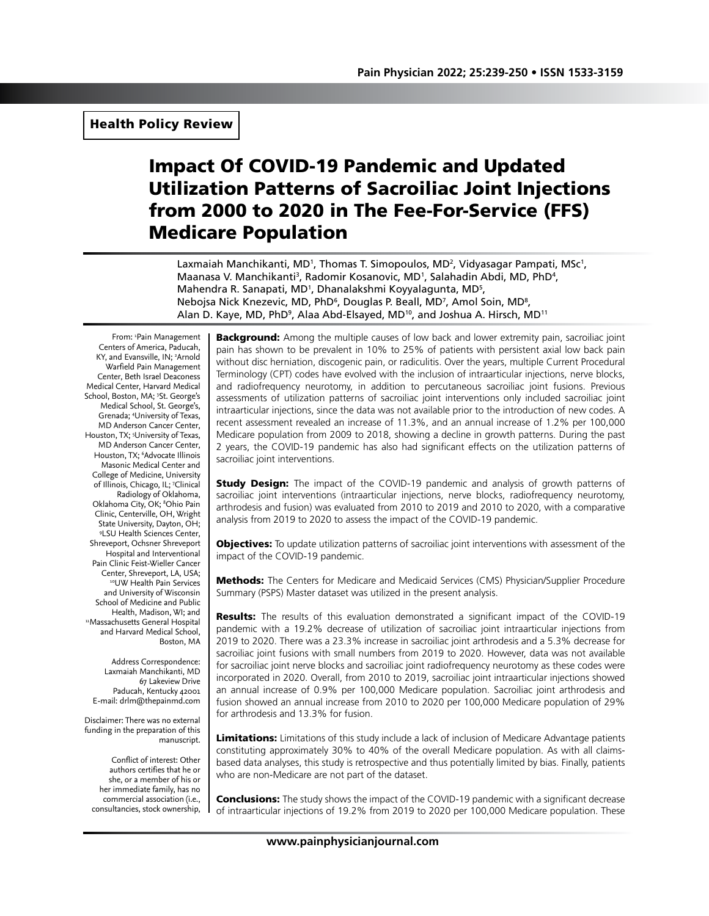# Impact Of COVID-19 Pandemic and Updated Utilization Patterns of Sacroiliac Joint Injections from 2000 to 2020 in The Fee-For-Service (FFS) Medicare Population

Laxmaiah Manchikanti, MD<sup>1</sup>, Thomas T. Simopoulos, MD<sup>2</sup>, Vidyasagar Pampati, MSc<sup>1</sup>, Maanasa V. Manchikanti<sup>3</sup>, Radomir Kosanovic, MD<sup>1</sup>, Salahadin Abdi, MD, PhD<sup>4</sup>, Mahendra R. Sanapati, MD<sup>1</sup>, Dhanalakshmi Koyyalagunta, MD<sup>5</sup>, Nebojsa Nick Knezevic, MD, PhD<sup>6</sup>, Douglas P. Beall, MD<sup>7</sup>, Amol Soin, MD<sup>8</sup>, Alan D. Kaye, MD, PhD<sup>9</sup>, Alaa Abd-Elsayed, MD<sup>10</sup>, and Joshua A. Hirsch, MD<sup>11</sup>

From: 'Pain Management Centers of America, Paducah, KY, and Evansville, IN; 2 Arnold Warfield Pain Management Center, Beth Israel Deaconess Medical Center, Harvard Medical School, Boston, MA; <sup>3</sup>St. George's Medical School, St. George's, Grenada; 4 University of Texas, MD Anderson Cancer Center, Houston, TX; <sup>5</sup>University of Texas, MD Anderson Cancer Center, Houston, TX; 6 Advocate Illinois Masonic Medical Center and College of Medicine, University of Illinois, Chicago, IL; 7 Clinical Radiology of Oklahoma, Oklahoma City, OK; 8 Ohio Pain Clinic, Centerville, OH, Wright State University, Dayton, OH; 9 LSU Health Sciences Center, Shreveport, Ochsner Shreveport Hospital and Interventional Pain Clinic Feist-Wieller Cancer <sup>10</sup>UW Health Pain Services and University of Wisconsin School of Medicine and Public Health, Madison, WI; and 11Massachusetts General Hospital and Harvard Medical School, Boston, MA

Address Correspondence: Laxmaiah Manchikanti, MD 67 Lakeview Drive Paducah, Kentucky 42001 E-mail: drlm@thepainmd.com

Disclaimer: There was no external funding in the preparation of this manuscript.

Conflict of interest: Other authors certifies that he or she, or a member of his or her immediate family, has no commercial association (i.e., consultancies, stock ownership,

**Background:** Among the multiple causes of low back and lower extremity pain, sacroiliac joint pain has shown to be prevalent in 10% to 25% of patients with persistent axial low back pain without disc herniation, discogenic pain, or radiculitis. Over the years, multiple Current Procedural Terminology (CPT) codes have evolved with the inclusion of intraarticular injections, nerve blocks, and radiofrequency neurotomy, in addition to percutaneous sacroiliac joint fusions. Previous assessments of utilization patterns of sacroiliac joint interventions only included sacroiliac joint intraarticular injections, since the data was not available prior to the introduction of new codes. A recent assessment revealed an increase of 11.3%, and an annual increase of 1.2% per 100,000 Medicare population from 2009 to 2018, showing a decline in growth patterns. During the past 2 years, the COVID-19 pandemic has also had significant effects on the utilization patterns of sacroiliac joint interventions.

**Study Design:** The impact of the COVID-19 pandemic and analysis of growth patterns of sacroiliac joint interventions (intraarticular injections, nerve blocks, radiofrequency neurotomy, arthrodesis and fusion) was evaluated from 2010 to 2019 and 2010 to 2020, with a comparative analysis from 2019 to 2020 to assess the impact of the COVID-19 pandemic.

**Objectives:** To update utilization patterns of sacroiliac joint interventions with assessment of the impact of the COVID-19 pandemic.

**Methods:** The Centers for Medicare and Medicaid Services (CMS) Physician/Supplier Procedure Summary (PSPS) Master dataset was utilized in the present analysis.

**Results:** The results of this evaluation demonstrated a significant impact of the COVID-19 pandemic with a 19.2% decrease of utilization of sacroiliac joint intraarticular injections from 2019 to 2020. There was a 23.3% increase in sacroiliac joint arthrodesis and a 5.3% decrease for sacroiliac joint fusions with small numbers from 2019 to 2020. However, data was not available for sacroiliac joint nerve blocks and sacroiliac joint radiofrequency neurotomy as these codes were incorporated in 2020. Overall, from 2010 to 2019, sacroiliac joint intraarticular injections showed an annual increase of 0.9% per 100,000 Medicare population. Sacroiliac joint arthrodesis and fusion showed an annual increase from 2010 to 2020 per 100,000 Medicare population of 29% for arthrodesis and 13.3% for fusion.

Limitations: Limitations of this study include a lack of inclusion of Medicare Advantage patients constituting approximately 30% to 40% of the overall Medicare population. As with all claimsbased data analyses, this study is retrospective and thus potentially limited by bias. Finally, patients who are non-Medicare are not part of the dataset.

**Conclusions:** The study shows the impact of the COVID-19 pandemic with a significant decrease of intraarticular injections of 19.2% from 2019 to 2020 per 100,000 Medicare population. These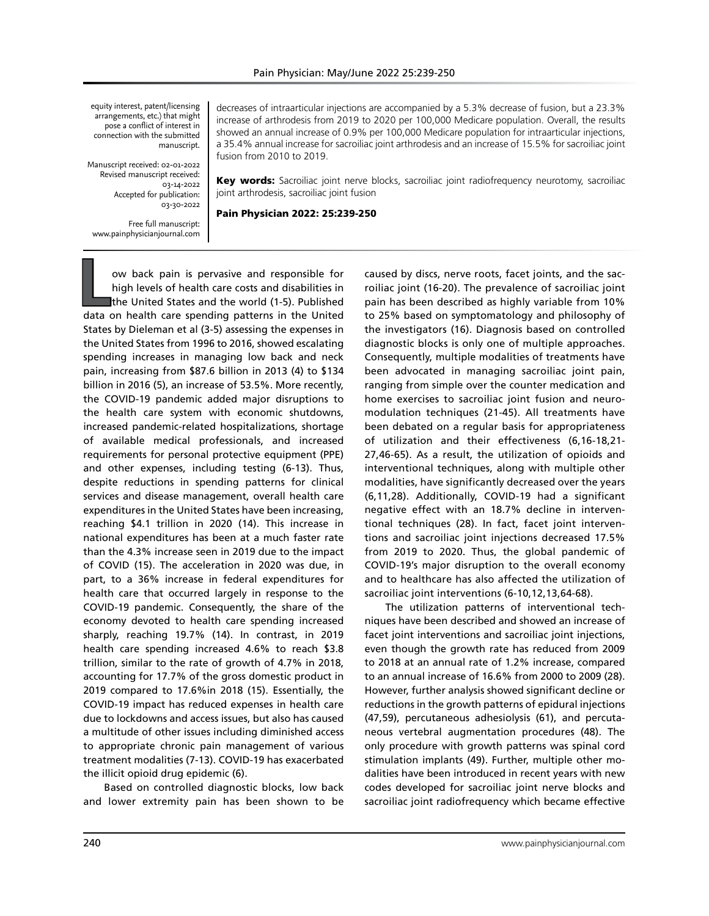equity interest, patent/licensing arrangements, etc.) that might pose a conflict of interest in connection with the submitted manuscript.

Manuscript received: 02-01-2022 Revised manuscript received: 03-14-2022 Accepted for publication: 03-30-2022

Free full manuscript: www.painphysicianjournal.com decreases of intraarticular injections are accompanied by a 5.3% decrease of fusion, but a 23.3% increase of arthrodesis from 2019 to 2020 per 100,000 Medicare population. Overall, the results showed an annual increase of 0.9% per 100,000 Medicare population for intraarticular injections, a 35.4% annual increase for sacroiliac joint arthrodesis and an increase of 15.5% for sacroiliac joint fusion from 2010 to 2019.

Key words: Sacroiliac joint nerve blocks, sacroiliac joint radiofrequency neurotomy, sacroiliac joint arthrodesis, sacroiliac joint fusion

Pain Physician 2022: 25:239-250

**L**ow back pain is pervasive and responsible for high levels of health care costs and disabilities in the United States and the world (1-5). Published data on health care spending patterns in the United States by Dieleman et al (3-5) assessing the expenses in the United States from 1996 to 2016, showed escalating spending increases in managing low back and neck pain, increasing from \$87.6 billion in 2013 (4) to \$134 billion in 2016 (5), an increase of 53.5%. More recently, the COVID-19 pandemic added major disruptions to the health care system with economic shutdowns, increased pandemic-related hospitalizations, shortage of available medical professionals, and increased requirements for personal protective equipment (PPE) and other expenses, including testing (6-13). Thus, despite reductions in spending patterns for clinical services and disease management, overall health care expenditures in the United States have been increasing, reaching \$4.1 trillion in 2020 (14). This increase in national expenditures has been at a much faster rate than the 4.3% increase seen in 2019 due to the impact of COVID (15). The acceleration in 2020 was due, in part, to a 36% increase in federal expenditures for health care that occurred largely in response to the COVID-19 pandemic. Consequently, the share of the economy devoted to health care spending increased sharply, reaching 19.7% (14). In contrast, in 2019 health care spending increased 4.6% to reach \$3.8 trillion, similar to the rate of growth of 4.7% in 2018, accounting for 17.7% of the gross domestic product in 2019 compared to 17.6%in 2018 (15). Essentially, the COVID-19 impact has reduced expenses in health care due to lockdowns and access issues, but also has caused a multitude of other issues including diminished access to appropriate chronic pain management of various treatment modalities (7-13). COVID-19 has exacerbated the illicit opioid drug epidemic (6).

Based on controlled diagnostic blocks, low back and lower extremity pain has been shown to be caused by discs, nerve roots, facet joints, and the sacroiliac joint (16-20). The prevalence of sacroiliac joint pain has been described as highly variable from 10% to 25% based on symptomatology and philosophy of the investigators (16). Diagnosis based on controlled diagnostic blocks is only one of multiple approaches. Consequently, multiple modalities of treatments have been advocated in managing sacroiliac joint pain, ranging from simple over the counter medication and home exercises to sacroiliac joint fusion and neuromodulation techniques (21-45). All treatments have been debated on a regular basis for appropriateness of utilization and their effectiveness (6,16-18,21- 27,46-65). As a result, the utilization of opioids and interventional techniques, along with multiple other modalities, have significantly decreased over the years (6,11,28). Additionally, COVID-19 had a significant negative effect with an 18.7% decline in interventional techniques (28). In fact, facet joint interventions and sacroiliac joint injections decreased 17.5% from 2019 to 2020. Thus, the global pandemic of COVID-19's major disruption to the overall economy and to healthcare has also affected the utilization of sacroiliac joint interventions (6-10,12,13,64-68).

The utilization patterns of interventional techniques have been described and showed an increase of facet joint interventions and sacroiliac joint injections, even though the growth rate has reduced from 2009 to 2018 at an annual rate of 1.2% increase, compared to an annual increase of 16.6% from 2000 to 2009 (28). However, further analysis showed significant decline or reductions in the growth patterns of epidural injections (47,59), percutaneous adhesiolysis (61), and percutaneous vertebral augmentation procedures (48). The only procedure with growth patterns was spinal cord stimulation implants (49). Further, multiple other modalities have been introduced in recent years with new codes developed for sacroiliac joint nerve blocks and sacroiliac joint radiofrequency which became effective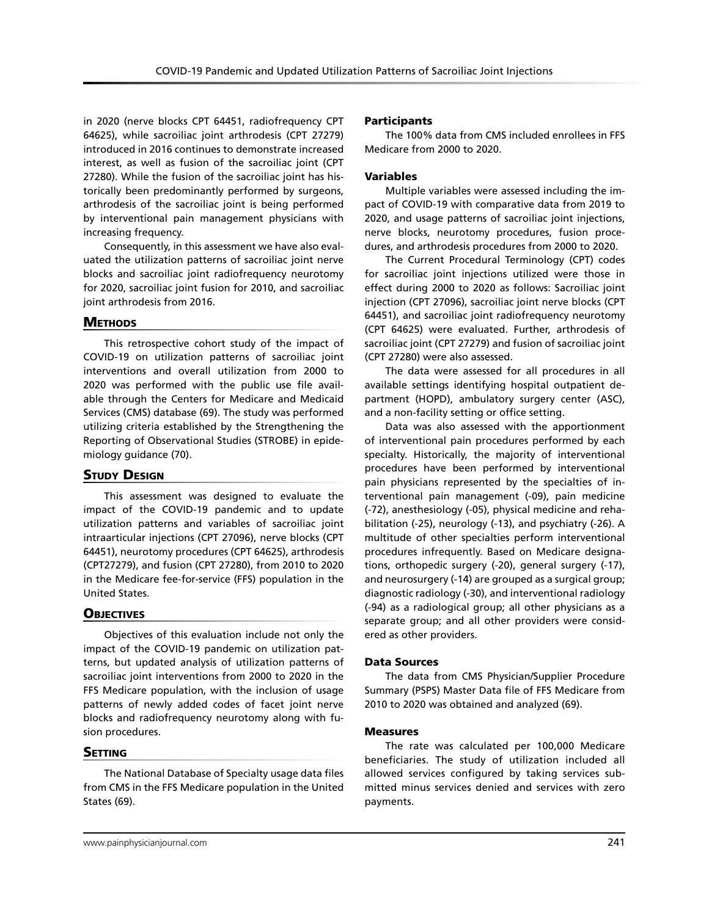in 2020 (nerve blocks CPT 64451, radiofrequency CPT 64625), while sacroiliac joint arthrodesis (CPT 27279) introduced in 2016 continues to demonstrate increased interest, as well as fusion of the sacroiliac joint (CPT 27280). While the fusion of the sacroiliac joint has historically been predominantly performed by surgeons, arthrodesis of the sacroiliac joint is being performed by interventional pain management physicians with increasing frequency.

Consequently, in this assessment we have also evaluated the utilization patterns of sacroiliac joint nerve blocks and sacroiliac joint radiofrequency neurotomy for 2020, sacroiliac joint fusion for 2010, and sacroiliac joint arthrodesis from 2016.

## **METHODS**

This retrospective cohort study of the impact of COVID-19 on utilization patterns of sacroiliac joint interventions and overall utilization from 2000 to 2020 was performed with the public use file available through the Centers for Medicare and Medicaid Services (CMS) database (69). The study was performed utilizing criteria established by the Strengthening the Reporting of Observational Studies (STROBE) in epidemiology guidance (70).

# **STUDY DESIGN**

This assessment was designed to evaluate the impact of the COVID-19 pandemic and to update utilization patterns and variables of sacroiliac joint intraarticular injections (CPT 27096), nerve blocks (CPT 64451), neurotomy procedures (CPT 64625), arthrodesis (CPT27279), and fusion (CPT 27280), from 2010 to 2020 in the Medicare fee-for-service (FFS) population in the United States.

# **OBJECTIVES**

Objectives of this evaluation include not only the impact of the COVID-19 pandemic on utilization patterns, but updated analysis of utilization patterns of sacroiliac joint interventions from 2000 to 2020 in the FFS Medicare population, with the inclusion of usage patterns of newly added codes of facet joint nerve blocks and radiofrequency neurotomy along with fusion procedures.

# **SETTING**

The National Database of Specialty usage data files from CMS in the FFS Medicare population in the United States (69).

## Participants

The 100% data from CMS included enrollees in FFS Medicare from 2000 to 2020.

## Variables

Multiple variables were assessed including the impact of COVID-19 with comparative data from 2019 to 2020, and usage patterns of sacroiliac joint injections, nerve blocks, neurotomy procedures, fusion procedures, and arthrodesis procedures from 2000 to 2020.

The Current Procedural Terminology (CPT) codes for sacroiliac joint injections utilized were those in effect during 2000 to 2020 as follows: Sacroiliac joint injection (CPT 27096), sacroiliac joint nerve blocks (CPT 64451), and sacroiliac joint radiofrequency neurotomy (CPT 64625) were evaluated. Further, arthrodesis of sacroiliac joint (CPT 27279) and fusion of sacroiliac joint (CPT 27280) were also assessed.

The data were assessed for all procedures in all available settings identifying hospital outpatient department (HOPD), ambulatory surgery center (ASC), and a non-facility setting or office setting.

Data was also assessed with the apportionment of interventional pain procedures performed by each specialty. Historically, the majority of interventional procedures have been performed by interventional pain physicians represented by the specialties of interventional pain management (-09), pain medicine (-72), anesthesiology (-05), physical medicine and rehabilitation (-25), neurology (-13), and psychiatry (-26). A multitude of other specialties perform interventional procedures infrequently. Based on Medicare designations, orthopedic surgery (-20), general surgery (-17), and neurosurgery (-14) are grouped as a surgical group; diagnostic radiology (-30), and interventional radiology (-94) as a radiological group; all other physicians as a separate group; and all other providers were considered as other providers.

## Data Sources

The data from CMS Physician/Supplier Procedure Summary (PSPS) Master Data file of FFS Medicare from 2010 to 2020 was obtained and analyzed (69).

## Measures

The rate was calculated per 100,000 Medicare beneficiaries. The study of utilization included all allowed services configured by taking services submitted minus services denied and services with zero payments.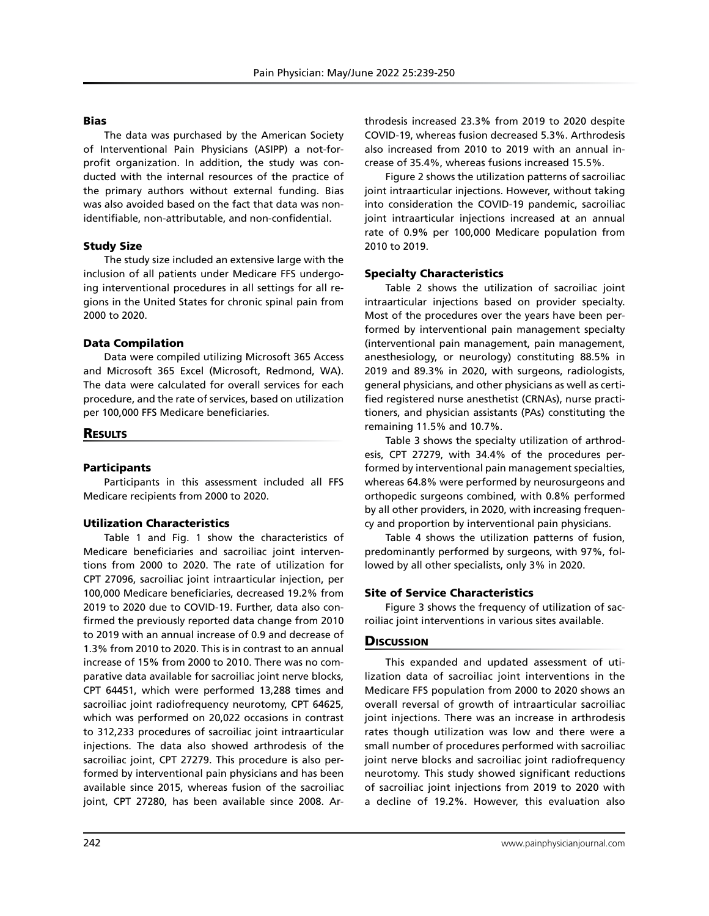#### Bias

The data was purchased by the American Society of Interventional Pain Physicians (ASIPP) a not-forprofit organization. In addition, the study was conducted with the internal resources of the practice of the primary authors without external funding. Bias was also avoided based on the fact that data was nonidentifiable, non-attributable, and non-confidential.

## Study Size

The study size included an extensive large with the inclusion of all patients under Medicare FFS undergoing interventional procedures in all settings for all regions in the United States for chronic spinal pain from 2000 to 2020.

#### Data Compilation

Data were compiled utilizing Microsoft 365 Access and Microsoft 365 Excel (Microsoft, Redmond, WA). The data were calculated for overall services for each procedure, and the rate of services, based on utilization per 100,000 FFS Medicare beneficiaries.

## **RESULTS**

## Participants

Participants in this assessment included all FFS Medicare recipients from 2000 to 2020.

## Utilization Characteristics

Table 1 and Fig. 1 show the characteristics of Medicare beneficiaries and sacroiliac joint interventions from 2000 to 2020. The rate of utilization for CPT 27096, sacroiliac joint intraarticular injection, per 100,000 Medicare beneficiaries, decreased 19.2% from 2019 to 2020 due to COVID-19. Further, data also confirmed the previously reported data change from 2010 to 2019 with an annual increase of 0.9 and decrease of 1.3% from 2010 to 2020. This is in contrast to an annual increase of 15% from 2000 to 2010. There was no comparative data available for sacroiliac joint nerve blocks, CPT 64451, which were performed 13,288 times and sacroiliac joint radiofrequency neurotomy, CPT 64625, which was performed on 20,022 occasions in contrast to 312,233 procedures of sacroiliac joint intraarticular injections. The data also showed arthrodesis of the sacroiliac joint, CPT 27279. This procedure is also performed by interventional pain physicians and has been available since 2015, whereas fusion of the sacroiliac joint, CPT 27280, has been available since 2008. Arthrodesis increased 23.3% from 2019 to 2020 despite COVID-19, whereas fusion decreased 5.3%. Arthrodesis also increased from 2010 to 2019 with an annual increase of 35.4%, whereas fusions increased 15.5%.

Figure 2 shows the utilization patterns of sacroiliac joint intraarticular injections. However, without taking into consideration the COVID-19 pandemic, sacroiliac joint intraarticular injections increased at an annual rate of 0.9% per 100,000 Medicare population from 2010 to 2019.

## Specialty Characteristics

Table 2 shows the utilization of sacroiliac joint intraarticular injections based on provider specialty. Most of the procedures over the years have been performed by interventional pain management specialty (interventional pain management, pain management, anesthesiology, or neurology) constituting 88.5% in 2019 and 89.3% in 2020, with surgeons, radiologists, general physicians, and other physicians as well as certified registered nurse anesthetist (CRNAs), nurse practitioners, and physician assistants (PAs) constituting the remaining 11.5% and 10.7%.

Table 3 shows the specialty utilization of arthrodesis, CPT 27279, with 34.4% of the procedures performed by interventional pain management specialties, whereas 64.8% were performed by neurosurgeons and orthopedic surgeons combined, with 0.8% performed by all other providers, in 2020, with increasing frequency and proportion by interventional pain physicians.

Table 4 shows the utilization patterns of fusion, predominantly performed by surgeons, with 97%, followed by all other specialists, only 3% in 2020.

## Site of Service Characteristics

Figure 3 shows the frequency of utilization of sacroiliac joint interventions in various sites available.

# **Discussion**

This expanded and updated assessment of utilization data of sacroiliac joint interventions in the Medicare FFS population from 2000 to 2020 shows an overall reversal of growth of intraarticular sacroiliac joint injections. There was an increase in arthrodesis rates though utilization was low and there were a small number of procedures performed with sacroiliac joint nerve blocks and sacroiliac joint radiofrequency neurotomy. This study showed significant reductions of sacroiliac joint injections from 2019 to 2020 with a decline of 19.2%. However, this evaluation also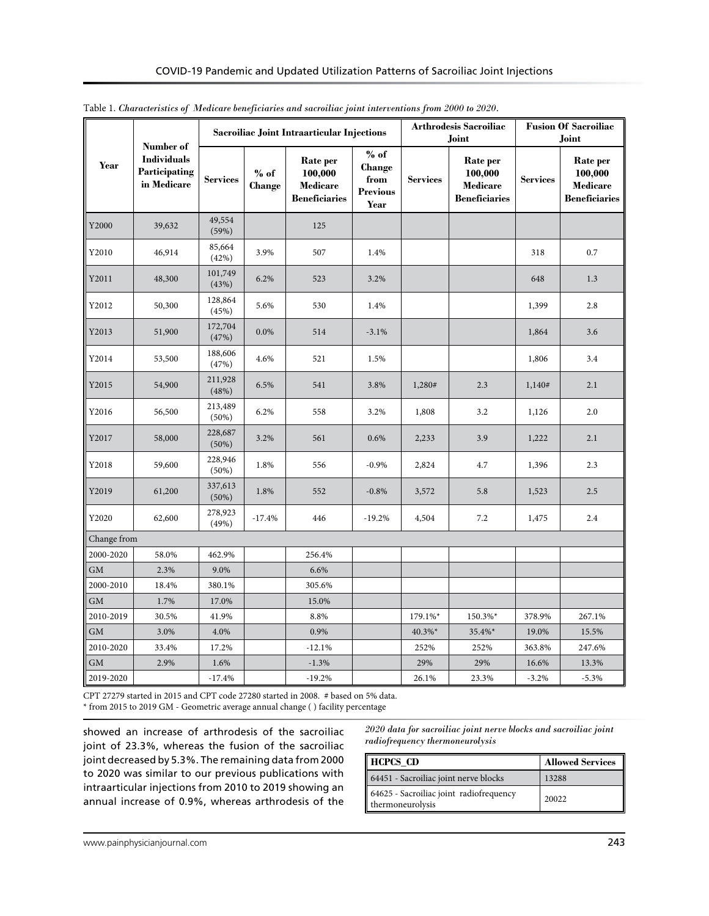|             | Number of                                          |                  |                   | Sacroiliac Joint Intraarticular Injections              |                                                     |                 | <b>Arthrodesis Sacroiliac</b><br>Joint                  | <b>Fusion Of Sacroiliac</b><br>Joint |                                                         |  |
|-------------|----------------------------------------------------|------------------|-------------------|---------------------------------------------------------|-----------------------------------------------------|-----------------|---------------------------------------------------------|--------------------------------------|---------------------------------------------------------|--|
| Year        | <b>Individuals</b><br>Participating<br>in Medicare | <b>Services</b>  | $\%$ of<br>Change | Rate per<br>100,000<br>Medicare<br><b>Beneficiaries</b> | $%$ of<br>Change<br>from<br><b>Previous</b><br>Year | <b>Services</b> | Rate per<br>100,000<br>Medicare<br><b>Beneficiaries</b> | <b>Services</b>                      | Rate per<br>100,000<br>Medicare<br><b>Beneficiaries</b> |  |
| Y2000       | 39,632                                             | 49,554<br>(59%)  |                   | 125                                                     |                                                     |                 |                                                         |                                      |                                                         |  |
| Y2010       | 46,914                                             | 85,664<br>(42%)  | 3.9%              | 507                                                     | 1.4%                                                |                 |                                                         | 318                                  | 0.7                                                     |  |
| Y2011       | 48,300                                             | 101,749<br>(43%) | 6.2%              | 523                                                     | 3.2%                                                |                 |                                                         | 648                                  | 1.3                                                     |  |
| Y2012       | 50,300                                             | 128,864<br>(45%) | 5.6%              | 530                                                     | 1.4%                                                |                 |                                                         | 1,399                                | 2.8                                                     |  |
| Y2013       | 51,900                                             | 172,704<br>(47%) | $0.0\%$           | 514                                                     | $-3.1%$                                             |                 |                                                         | 1,864                                | 3.6                                                     |  |
| Y2014       | 53,500                                             | 188,606<br>(47%) | 4.6%              | 521                                                     | 1.5%                                                |                 |                                                         | 1,806                                | 3.4                                                     |  |
| Y2015       | 54,900                                             | 211,928<br>(48%) | 6.5%              | 541                                                     | 3.8%                                                | 1,280#          | 2.3                                                     | 1,140#                               | 2.1                                                     |  |
| Y2016       | 56,500                                             | 213,489<br>(50%) | 6.2%              | 558                                                     | 3.2%                                                | 1,808           | 3.2                                                     | 1,126                                | 2.0                                                     |  |
| Y2017       | 58,000                                             | 228,687<br>(50%) | 3.2%              | 561                                                     | 0.6%                                                | 2,233           | 3.9                                                     | 1,222                                | 2.1                                                     |  |
| Y2018       | 59,600                                             | 228,946<br>(50%) | 1.8%              | 556                                                     | $-0.9%$                                             | 2,824           | 4.7                                                     | 1,396                                | 2.3                                                     |  |
| Y2019       | 61,200                                             | 337,613<br>(50%) | 1.8%              | 552                                                     | $-0.8%$                                             | 3,572           | 5.8                                                     | 1,523                                | 2.5                                                     |  |
| Y2020       | 62,600                                             | 278,923<br>(49%) | $-17.4%$          | 446                                                     | $-19.2%$                                            | 4,504           | 7.2                                                     | 1,475                                | 2.4                                                     |  |
| Change from |                                                    |                  |                   |                                                         |                                                     |                 |                                                         |                                      |                                                         |  |
| 2000-2020   | 58.0%                                              | 462.9%           |                   | 256.4%                                                  |                                                     |                 |                                                         |                                      |                                                         |  |
| <b>GM</b>   | 2.3%                                               | 9.0%             |                   | 6.6%                                                    |                                                     |                 |                                                         |                                      |                                                         |  |
| 2000-2010   | 18.4%                                              | 380.1%           |                   | 305.6%                                                  |                                                     |                 |                                                         |                                      |                                                         |  |
| <b>GM</b>   | 1.7%                                               | 17.0%            |                   | 15.0%                                                   |                                                     |                 |                                                         |                                      |                                                         |  |
| 2010-2019   | 30.5%                                              | 41.9%            |                   | 8.8%                                                    |                                                     | 179.1%*         | 150.3%*                                                 | 378.9%                               | 267.1%                                                  |  |
| <b>GM</b>   | 3.0%                                               | 4.0%             |                   | 0.9%                                                    |                                                     | 40.3%*          | 35.4%*                                                  | 19.0%                                | 15.5%                                                   |  |
| 2010-2020   | 33.4%                                              | 17.2%            |                   | $-12.1%$                                                |                                                     | 252%            | 252%                                                    | 363.8%                               | 247.6%                                                  |  |
| <b>GM</b>   | 2.9%                                               | 1.6%             |                   | $-1.3%$                                                 |                                                     | 29%             | 29%                                                     | 16.6%                                | 13.3%                                                   |  |
| 2019-2020   |                                                    | $-17.4%$         |                   | $-19.2%$                                                |                                                     | 26.1%           | 23.3%                                                   | $-3.2%$                              | $-5.3%$                                                 |  |

Table 1. *Characteristics of Medicare beneficiaries and sacroiliac joint interventions from 2000 to 2020.*

CPT 27279 started in 2015 and CPT code 27280 started in 2008. # based on 5% data.

 $^{\star}$  from 2015 to 2019 GM - Geometric average annual change ( ) facility percentage

showed an increase of arthrodesis of the sacroiliac joint of 23.3%, whereas the fusion of the sacroiliac joint decreased by 5.3%. The remaining data from 2000 to 2020 was similar to our previous publications with intraarticular injections from 2010 to 2019 showing an annual increase of 0.9%, whereas arthrodesis of the

*2020 data for sacroiliac joint nerve blocks and sacroiliac joint radiofrequency thermoneurolysis*

| HCPCS_CD                                                    | <b>Allowed Services</b> |
|-------------------------------------------------------------|-------------------------|
| 64451 - Sacroiliac joint nerve blocks                       | 13288                   |
| 64625 - Sacroiliac joint radiofrequency<br>thermoneurolysis | 20022                   |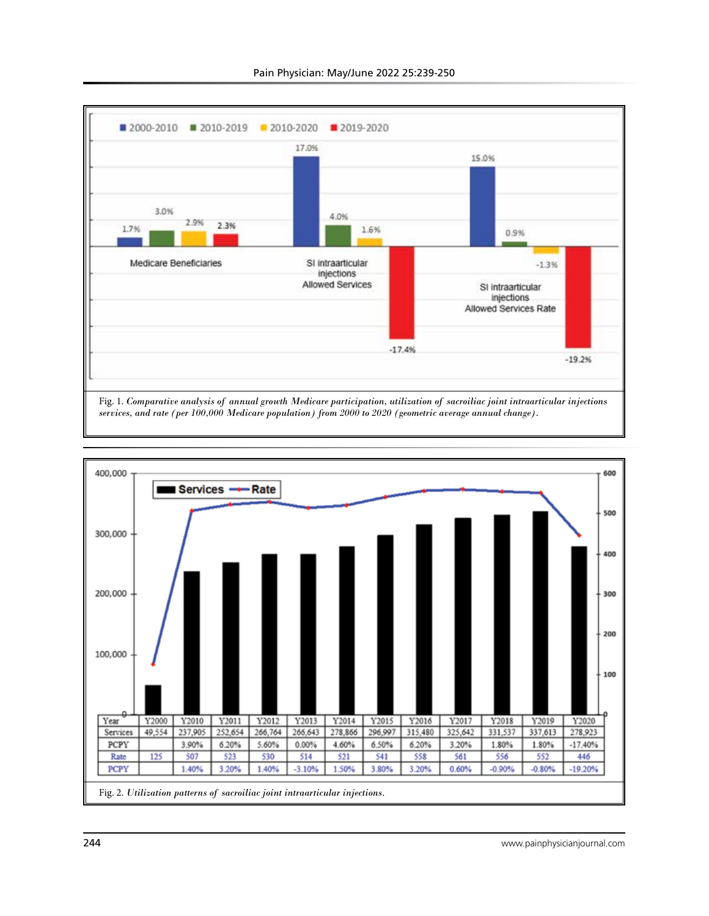



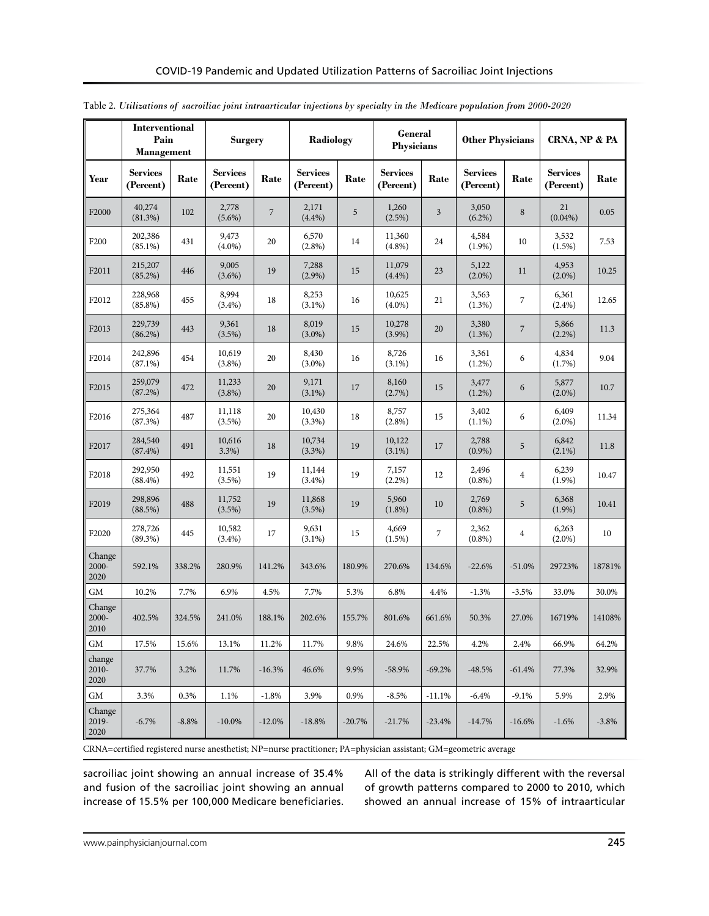|                         | Interventional<br>Pain<br><b>Management</b> |                                              | <b>Surgery</b>      |                                      | <b>Radiology</b>    |                                      | <b>General</b><br><b>Physicians</b> |                                      | <b>Other Physicians</b> |                                              | CRNA, NP & PA      |         |
|-------------------------|---------------------------------------------|----------------------------------------------|---------------------|--------------------------------------|---------------------|--------------------------------------|-------------------------------------|--------------------------------------|-------------------------|----------------------------------------------|--------------------|---------|
| Year                    | <b>Services</b><br>(Percent)                | <b>Services</b><br>Rate<br>Rate<br>(Percent) |                     | <b>Services</b><br>Rate<br>(Percent) |                     | <b>Services</b><br>Rate<br>(Percent) |                                     | <b>Services</b><br>Rate<br>(Percent) |                         | <b>Services</b><br>${\bf Rate}$<br>(Percent) |                    |         |
| F <sub>2000</sub>       | 40,274<br>(81.3%)                           | 102                                          | 2,778<br>$(5.6\%)$  | $\overline{7}$                       | 2,171<br>$(4.4\%)$  | 5                                    | 1,260<br>(2.5%)                     | 3                                    | 3,050<br>$(6.2\%)$      | 8                                            | 21<br>$(0.04\%)$   | 0.05    |
| F <sub>200</sub>        | 202,386<br>$(85.1\%)$                       | 431                                          | 9,473<br>$(4.0\%)$  | 20                                   | 6,570<br>$(2.8\%)$  | 14                                   | 11,360<br>$(4.8\%)$                 | 24                                   | 4,584<br>$(1.9\%)$      | 10                                           | 3,532<br>(1.5%)    | 7.53    |
| F2011                   | 215,207<br>(85.2%)                          | 446                                          | 9,005<br>$(3.6\%)$  | 19                                   | 7,288<br>$(2.9\%)$  | 15                                   | 11,079<br>(4.4%)                    | 23                                   | 5,122<br>$(2.0\%)$      | 11                                           | 4,953<br>$(2.0\%)$ | 10.25   |
| F <sub>2012</sub>       | 228,968<br>$(85.8\%)$                       | 455                                          | 8,994<br>$(3.4\%)$  | 18                                   | 8,253<br>$(3.1\%)$  | 16                                   | 10,625<br>$(4.0\%)$                 | 21                                   | 3,563<br>$(1.3\%)$      | $\boldsymbol{7}$                             | 6,361<br>$(2.4\%)$ | 12.65   |
| F2013                   | 229,739<br>$(86.2\%)$                       | 443                                          | 9,361<br>$(3.5\%)$  | 18                                   | 8,019<br>$(3.0\%)$  | 15                                   | 10,278<br>$(3.9\%)$                 | 20                                   | 3,380<br>(1.3%)         | $\sqrt{2}$                                   | 5,866<br>$(2.2\%)$ | 11.3    |
| F2014                   | 242,896<br>$(87.1\%)$                       | 454                                          | 10,619<br>$(3.8\%)$ | 20                                   | 8,430<br>$(3.0\%)$  | 16                                   | 8,726<br>$(3.1\%)$                  | 16                                   | 3,361<br>$(1.2\%)$      | 6                                            | 4,834<br>(1.7%)    | 9.04    |
| F2015                   | 259,079<br>(87.2%)                          | 472                                          | 11,233<br>$(3.8\%)$ | 20                                   | 9,171<br>$(3.1\%)$  | 17                                   | 8,160<br>(2.7%)                     | 15                                   | 3,477<br>$(1.2\%)$      | 6                                            | 5,877<br>$(2.0\%)$ | 10.7    |
| F2016                   | 275,364<br>(87.3%)                          | 487                                          | 11,118<br>$(3.5\%)$ | 20                                   | 10,430<br>$(3.3\%)$ | 18                                   | 8,757<br>$(2.8\%)$                  | 15                                   | 3,402<br>$(1.1\%)$      | 6                                            | 6,409<br>$(2.0\%)$ | 11.34   |
| F2017                   | 284,540<br>$(87.4\%)$                       | 491                                          | 10,616<br>3.3%      | 18                                   | 10,734<br>(3.3%)    | 19                                   | 10,122<br>$(3.1\%)$                 | 17                                   | 2,788<br>$(0.9\%)$      | 5                                            | 6,842<br>$(2.1\%)$ | 11.8    |
| F2018                   | 292,950<br>$(88.4\%)$                       | 492                                          | 11,551<br>$(3.5\%)$ | 19                                   | 11,144<br>$(3.4\%)$ | 19                                   | 7,157<br>$(2.2\%)$                  | 12                                   | 2,496<br>$(0.8\%)$      | $\overline{\mathbf{4}}$                      | 6,239<br>$(1.9\%)$ | 10.47   |
| F2019                   | 298,896<br>(88.5%)                          | 488                                          | 11,752<br>(3.5%)    | 19                                   | 11,868<br>$(3.5\%)$ | 19                                   | 5,960<br>$(1.8\%)$                  | 10                                   | 2,769<br>$(0.8\%)$      | 5                                            | 6,368<br>$(1.9\%)$ | 10.41   |
| F2020                   | 278,726<br>$(89.3\%)$                       | 445                                          | 10,582<br>$(3.4\%)$ | 17                                   | 9,631<br>$(3.1\%)$  | 15                                   | 4,669<br>$(1.5\%)$                  | 7                                    | 2,362<br>$(0.8\%)$      | $\overline{4}$                               | 6,263<br>$(2.0\%)$ | 10      |
| Change<br>2000-<br>2020 | 592.1%                                      | 338.2%                                       | 280.9%              | 141.2%                               | 343.6%              | 180.9%                               | 270.6%                              | 134.6%                               | $-22.6%$                | $-51.0%$                                     | 29723%             | 18781%  |
| GM                      | 10.2%                                       | 7.7%                                         | 6.9%                | 4.5%                                 | 7.7%                | 5.3%                                 | 6.8%                                | 4.4%                                 | $-1.3%$                 | $-3.5%$                                      | 33.0%              | 30.0%   |
| Change<br>2000-<br>2010 | 402.5%                                      | 324.5%                                       | 241.0%              | 188.1%                               | 202.6%              | 155.7%                               | 801.6%                              | 661.6%                               | 50.3%                   | 27.0%                                        | 16719%             | 14108%  |
| GM                      | 17.5%                                       | 15.6%                                        | 13.1%               | 11.2%                                | 11.7%               | 9.8%                                 | 24.6%                               | 22.5%                                | 4.2%                    | 2.4%                                         | 66.9%              | 64.2%   |
| change<br>2010-<br>2020 | 37.7%                                       | 3.2%                                         | 11.7%               | $-16.3%$                             | 46.6%               | 9.9%                                 | $-58.9%$                            | $-69.2%$                             | $-48.5%$                | $-61.4%$                                     | 77.3%              | 32.9%   |
| GM                      | 3.3%                                        | 0.3%                                         | 1.1%                | $-1.8%$                              | 3.9%                | 0.9%                                 | $-8.5%$                             | $-11.1%$                             | $-6.4%$                 | $-9.1%$                                      | 5.9%               | 2.9%    |
| Change<br>2019-<br>2020 | $-6.7\%$                                    | $-8.8%$                                      | $-10.0\%$           | $-12.0%$                             | $-18.8%$            | $-20.7%$                             | $-21.7%$                            | $-23.4%$                             | $-14.7%$                | $-16.6%$                                     | $-1.6%$            | $-3.8%$ |

Table 2. *Utilizations of sacroiliac joint intraarticular injections by specialty in the Medicare population from 2000-2020*

CRNA=certified registered nurse anesthetist; NP=nurse practitioner; PA=physician assistant; GM=geometric average

sacroiliac joint showing an annual increase of 35.4% and fusion of the sacroiliac joint showing an annual increase of 15.5% per 100,000 Medicare beneficiaries.

All of the data is strikingly different with the reversal of growth patterns compared to 2000 to 2010, which showed an annual increase of 15% of intraarticular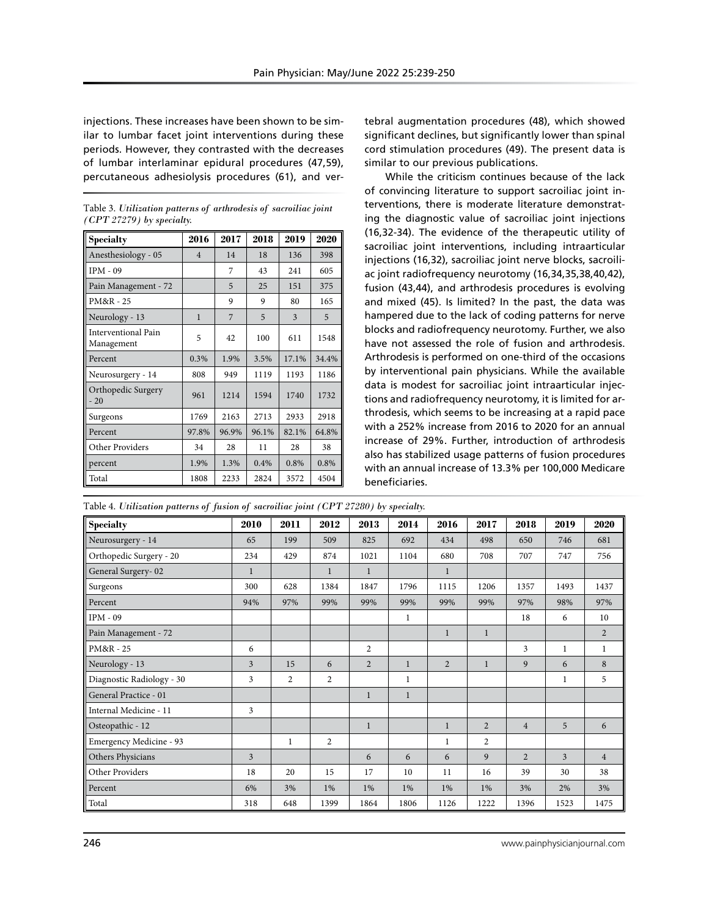injections. These increases have been shown to be similar to lumbar facet joint interventions during these periods. However, they contrasted with the decreases of lumbar interlaminar epidural procedures (47,59), percutaneous adhesiolysis procedures (61), and ver-

Table 3. *Utilization patterns of arthrodesis of sacroiliac joint (CPT 27279) by specialty.*

| <b>Specialty</b>                  | 2016           | 2017  | 2018  | 2019         | 2020  |  |
|-----------------------------------|----------------|-------|-------|--------------|-------|--|
| Anesthesiology - 05               | $\overline{4}$ | 14    | 18    | 136          | 398   |  |
| $IPM - 09$                        |                | 7     | 43    | 241          | 605   |  |
| Pain Management - 72              |                | 5     | 25    | 151          | 375   |  |
| PM&R - 25                         |                | 9     | 9     | 80           | 165   |  |
| Neurology - 13                    | $\mathbf{1}$   | 7     | 5     | $\mathbf{3}$ | 5     |  |
| Interventional Pain<br>Management | 5              | 42    | 100   | 611          | 1548  |  |
| Percent                           | 0.3%           | 1.9%  | 3.5%  |              | 34.4% |  |
| Neurosurgery - 14                 | 808            | 949   | 1119  | 1193         | 1186  |  |
| Orthopedic Surgery<br>$-20$       | 961            | 1214  | 1594  | 1740         | 1732  |  |
| Surgeons                          | 1769           | 2163  | 2713  | 2933         | 2918  |  |
| Percent                           | 97.8%          | 96.9% | 96.1% | 82.1%        | 64.8% |  |
| Other Providers                   | 34             | 28    | 11    | 28           | 38    |  |
| percent                           | 1.9%           | 1.3%  | 0.4%  | 0.8%         | 0.8%  |  |
| Total                             | 1808           | 2233  | 2824  | 3572         | 4504  |  |

tebral augmentation procedures (48), which showed significant declines, but significantly lower than spinal cord stimulation procedures (49). The present data is similar to our previous publications.

While the criticism continues because of the lack of convincing literature to support sacroiliac joint interventions, there is moderate literature demonstrating the diagnostic value of sacroiliac joint injections (16,32-34). The evidence of the therapeutic utility of sacroiliac joint interventions, including intraarticular injections (16,32), sacroiliac joint nerve blocks, sacroiliac joint radiofrequency neurotomy (16,34,35,38,40,42), fusion (43,44), and arthrodesis procedures is evolving and mixed (45). Is limited? In the past, the data was hampered due to the lack of coding patterns for nerve blocks and radiofrequency neurotomy. Further, we also have not assessed the role of fusion and arthrodesis. Arthrodesis is performed on one-third of the occasions by interventional pain physicians. While the available data is modest for sacroiliac joint intraarticular injections and radiofrequency neurotomy, it is limited for arthrodesis, which seems to be increasing at a rapid pace with a 252% increase from 2016 to 2020 for an annual increase of 29%. Further, introduction of arthrodesis also has stabilized usage patterns of fusion procedures with an annual increase of 13.3% per 100,000 Medicare beneficiaries.

Table 4. *Utilization patterns of fusion of sacroiliac joint (CPT 27280) by specialty.*

| <b>Specialty</b>          | 2010         | 2011           | 2012           | 2013           | 2014         | 2016           | 2017           | 2018           | 2019           | 2020           |
|---------------------------|--------------|----------------|----------------|----------------|--------------|----------------|----------------|----------------|----------------|----------------|
| Neurosurgery - 14         | 65           | 199            | 509            | 825            | 692          | 434            | 498            | 650            | 746            | 681            |
| Orthopedic Surgery - 20   | 234          | 429            | 874            | 1021           | 1104         | 680            | 708            | 707            | 747            | 756            |
| General Surgery-02        | $\mathbf{1}$ |                | 1              | $\mathbf{1}$   |              | 1              |                |                |                |                |
| Surgeons                  | 300          | 628            | 1384           | 1847           | 1796         | 1115           | 1206           | 1357           | 1493           | 1437           |
| Percent                   | 94%          | 97%            | 99%            | 99%            | 99%          | 99%            | 99%            | 97%            | 98%            | 97%            |
| $IPM - 09$                |              |                |                |                | 1            |                |                | 18             | 6              | 10             |
| Pain Management - 72      |              |                |                |                |              | $\mathbf{1}$   | $\mathbf{1}$   |                |                | 2              |
| PM&R - 25                 | 6            |                |                | $\overline{2}$ |              |                |                | 3              | $\mathbf{1}$   | $\mathbf{1}$   |
| Neurology - 13            | 3            | 15             | 6              | $\overline{2}$ | $\mathbf{1}$ | $\overline{2}$ | $\mathbf{1}$   | 9              | 6              | 8              |
| Diagnostic Radiology - 30 | 3            | $\overline{2}$ | $\overline{2}$ |                | $\mathbf{1}$ |                |                |                | 1              | 5              |
| General Practice - 01     |              |                |                | $\mathbf{1}$   | $\mathbf{1}$ |                |                |                |                |                |
| Internal Medicine - 11    | 3            |                |                |                |              |                |                |                |                |                |
| Osteopathic - 12          |              |                |                | $\mathbf{1}$   |              | $\mathbf{1}$   | $\overline{2}$ | $\overline{4}$ | 5              | 6              |
| Emergency Medicine - 93   |              | 1              | $\overline{c}$ |                |              | $\mathbf{1}$   | $\overline{2}$ |                |                |                |
| Others Physicians         | 3            |                |                | 6              | 6            | 6              | 9              | $\overline{2}$ | $\overline{3}$ | $\overline{4}$ |
| Other Providers           | 18           | 20             | 15             | 17             | 10           | 11             | 16             | 39             | 30             | 38             |
| Percent                   | 6%           | 3%             | 1%             | 1%             | 1%           | 1%             | 1%             | 3%             | 2%             | 3%             |
| Total                     | 318          | 648            | 1399           | 1864           | 1806         | 1126           | 1222           | 1396           | 1523           | 1475           |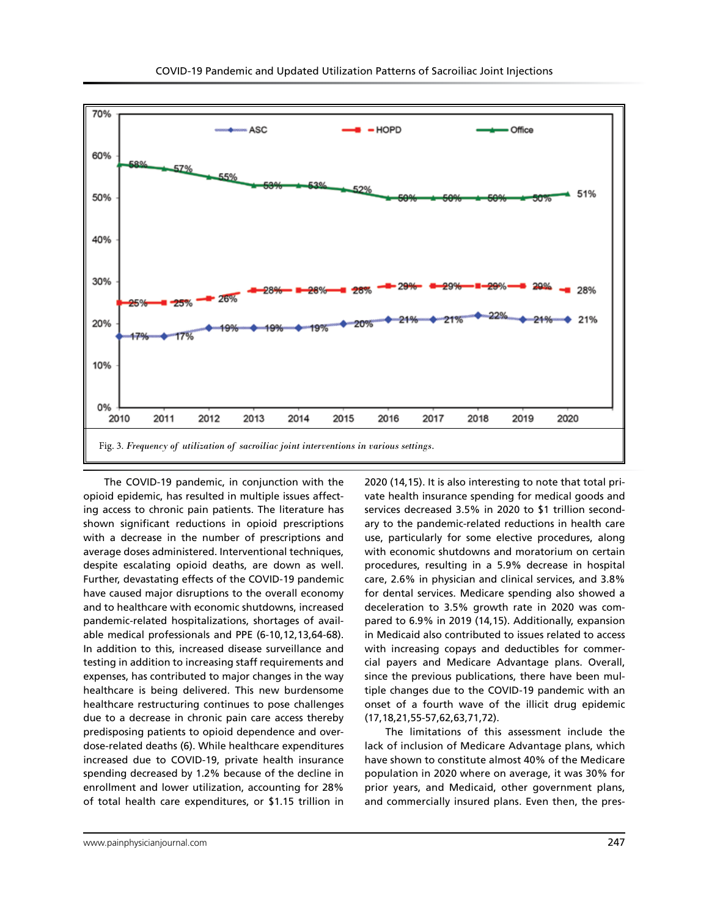

The COVID-19 pandemic, in conjunction with the opioid epidemic, has resulted in multiple issues affecting access to chronic pain patients. The literature has shown significant reductions in opioid prescriptions with a decrease in the number of prescriptions and average doses administered. Interventional techniques, despite escalating opioid deaths, are down as well. Further, devastating effects of the COVID-19 pandemic have caused major disruptions to the overall economy and to healthcare with economic shutdowns, increased pandemic-related hospitalizations, shortages of available medical professionals and PPE (6-10,12,13,64-68). In addition to this, increased disease surveillance and testing in addition to increasing staff requirements and expenses, has contributed to major changes in the way healthcare is being delivered. This new burdensome healthcare restructuring continues to pose challenges due to a decrease in chronic pain care access thereby predisposing patients to opioid dependence and overdose-related deaths (6). While healthcare expenditures increased due to COVID-19, private health insurance spending decreased by 1.2% because of the decline in enrollment and lower utilization, accounting for 28% of total health care expenditures, or \$1.15 trillion in

2020 (14,15). It is also interesting to note that total private health insurance spending for medical goods and services decreased 3.5% in 2020 to \$1 trillion secondary to the pandemic-related reductions in health care use, particularly for some elective procedures, along with economic shutdowns and moratorium on certain procedures, resulting in a 5.9% decrease in hospital care, 2.6% in physician and clinical services, and 3.8% for dental services. Medicare spending also showed a deceleration to 3.5% growth rate in 2020 was compared to 6.9% in 2019 (14,15). Additionally, expansion in Medicaid also contributed to issues related to access with increasing copays and deductibles for commercial payers and Medicare Advantage plans. Overall, since the previous publications, there have been multiple changes due to the COVID-19 pandemic with an onset of a fourth wave of the illicit drug epidemic (17,18,21,55-57,62,63,71,72).

The limitations of this assessment include the lack of inclusion of Medicare Advantage plans, which have shown to constitute almost 40% of the Medicare population in 2020 where on average, it was 30% for prior years, and Medicaid, other government plans, and commercially insured plans. Even then, the pres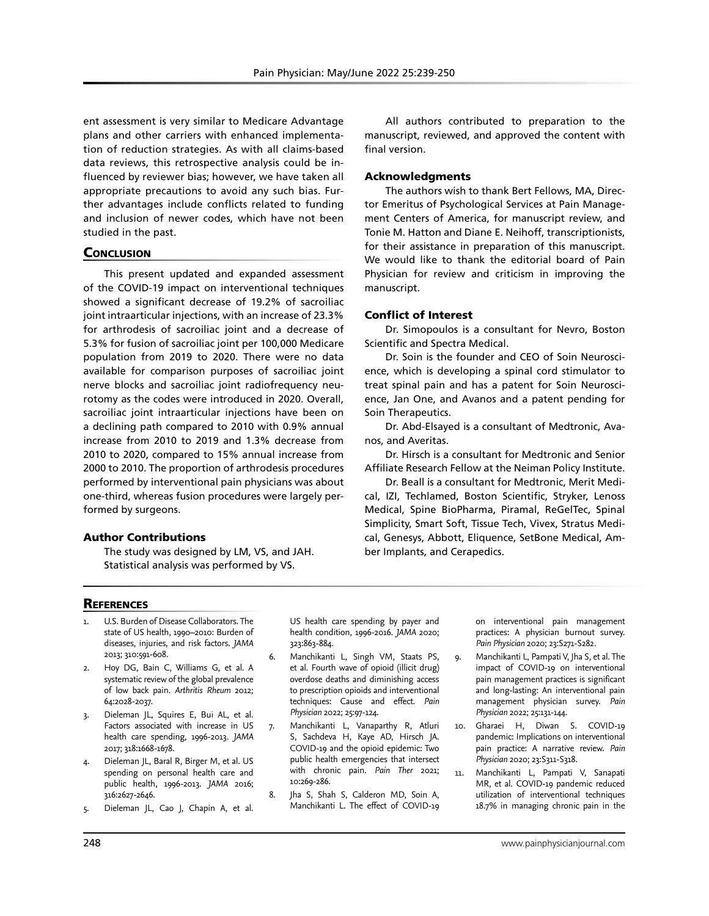ent assessment is very similar to Medicare Advantage plans and other carriers with enhanced implementation of reduction strategies. As with all claims-based data reviews, this retrospective analysis could be influenced by reviewer bias; however, we have taken all appropriate precautions to avoid any such bias. Further advantages include conflicts related to funding and inclusion of newer codes, which have not been studied in the past.

## **CONCLUSION**

This present updated and expanded assessment of the COVID-19 impact on interventional techniques showed a significant decrease of 19.2% of sacroiliac joint intraarticular injections, with an increase of 23.3% for arthrodesis of sacroiliac joint and a decrease of 5.3% for fusion of sacroiliac joint per 100,000 Medicare population from 2019 to 2020. There were no data available for comparison purposes of sacroiliac joint nerve blocks and sacroiliac joint radiofrequency neurotomy as the codes were introduced in 2020. Overall, sacroiliac joint intraarticular injections have been on a declining path compared to 2010 with 0.9% annual increase from 2010 to 2019 and 1.3% decrease from 2010 to 2020, compared to 15% annual increase from 2000 to 2010. The proportion of arthrodesis procedures performed by interventional pain physicians was about one-third, whereas fusion procedures were largely performed by surgeons.

## Author Contributions

The study was designed by LM, VS, and JAH. Statistical analysis was performed by VS.

All authors contributed to preparation to the manuscript, reviewed, and approved the content with final version.

#### Acknowledgments

The authors wish to thank Bert Fellows, MA, Director Emeritus of Psychological Services at Pain Management Centers of America, for manuscript review, and Tonie M. Hatton and Diane E. Neihoff, transcriptionists, for their assistance in preparation of this manuscript. We would like to thank the editorial board of Pain Physician for review and criticism in improving the manuscript.

## Conflict of Interest

Dr. Simopoulos is a consultant for Nevro, Boston Scientific and Spectra Medical.

Dr. Soin is the founder and CEO of Soin Neuroscience, which is developing a spinal cord stimulator to treat spinal pain and has a patent for Soin Neuroscience, Jan One, and Avanos and a patent pending for Soin Therapeutics.

Dr. Abd-Elsayed is a consultant of Medtronic, Avanos, and Averitas.

Dr. Hirsch is a consultant for Medtronic and Senior Affiliate Research Fellow at the Neiman Policy Institute.

Dr. Beall is a consultant for Medtronic, Merit Medical, IZI, Techlamed, Boston Scientific, Stryker, Lenoss Medical, Spine BioPharma, Piramal, ReGelTec, Spinal Simplicity, Smart Soft, Tissue Tech, Vivex, Stratus Medical, Genesys, Abbott, Eliquence, SetBone Medical, Amber Implants, and Cerapedics.

# **REFERENCES**

- 1. U.S. Burden of Disease Collaborators. The state of US health, 1990–2010: Burden of diseases, injuries, and risk factors. *JAMA* 2013; 310:591-608.
- 2. Hoy DG, Bain C, Williams G, et al. A systematic review of the global prevalence of low back pain. *Arthritis Rheum* 2012; 64:2028-2037.
- 3. Dieleman JL, Squires E, Bui AL, et al. Factors associated with increase in US health care spending, 1996-2013. *JAMA* 2017; 318:1668-1678.
- 4. Dieleman JL, Baral R, Birger M, et al. US spending on personal health care and public health, 1996-2013. *JAMA* 2016; 316:2627-2646.
- 5. Dieleman JL, Cao J, Chapin A, et al.

US health care spending by payer and health condition, 1996-2016. *JAMA* 2020; 323:863-884.

- 6. Manchikanti L, Singh VM, Staats PS, et al. Fourth wave of opioid (illicit drug) overdose deaths and diminishing access to prescription opioids and interventional techniques: Cause and effect. *Pain Physician* 2022; 25:97-124.
- 7. Manchikanti L, Vanaparthy R, Atluri S, Sachdeva H, Kaye AD, Hirsch JA. COVID-19 and the opioid epidemic: Two public health emergencies that intersect with chronic pain. *Pain Ther* 2021; 10:269-286.
- 8. Jha S, Shah S, Calderon MD, Soin A, Manchikanti L. The effect of COVID-19

on interventional pain management practices: A physician burnout survey. *Pain Physician* 2020; 23:S271-S282.

- 9. Manchikanti L, Pampati V, Jha S, et al. The impact of COVID-19 on interventional pain management practices is significant and long-lasting: An interventional pain management physician survey. *Pain Physician* 2022; 25:131-144.
- 10. Gharaei H, Diwan S. COVID-19 pandemic: Implications on interventional pain practice: A narrative review. *Pain Physician* 2020; 23:S311-S318.
- 11. Manchikanti L, Pampati V, Sanapati MR, et al. COVID-19 pandemic reduced utilization of interventional techniques 18.7% in managing chronic pain in the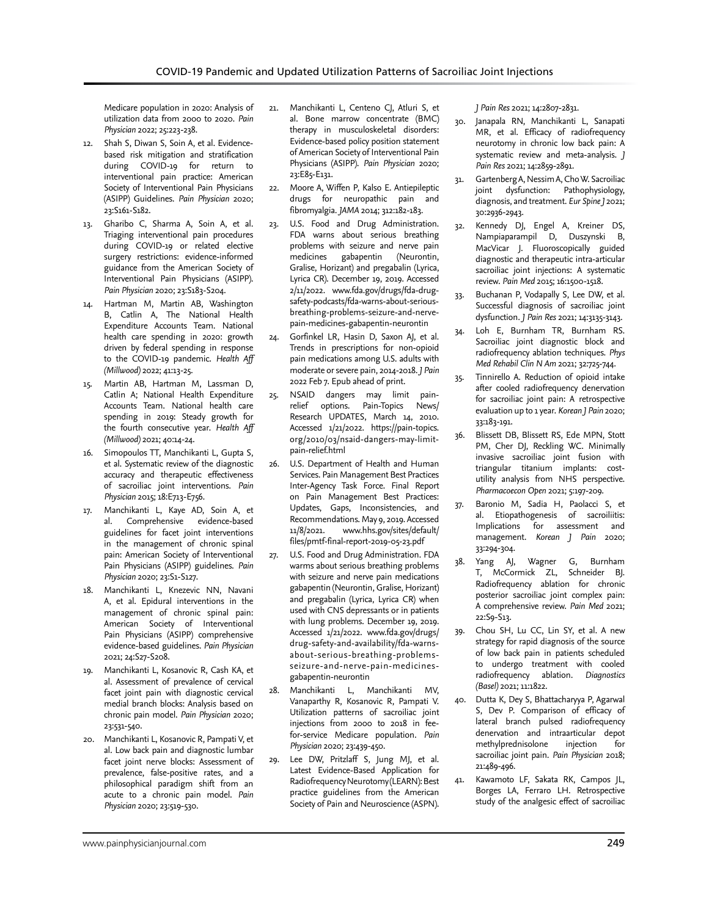Medicare population in 2020: Analysis of utilization data from 2000 to 2020. *Pain Physician* 2022; 25:223-238.

- 12. Shah S, Diwan S, Soin A, et al. Evidencebased risk mitigation and stratification during COVID-19 for return to interventional pain practice: American Society of Interventional Pain Physicians (ASIPP) Guidelines. *Pain Physician* 2020; 23:S161-S182.
- 13. Gharibo C, Sharma A, Soin A, et al. Triaging interventional pain procedures during COVID-19 or related elective surgery restrictions: evidence-informed guidance from the American Society of Interventional Pain Physicians (ASIPP). *Pain Physician* 2020; 23:S183-S204.
- 14. Hartman M, Martin AB, Washington B, Catlin A, The National Health Expenditure Accounts Team. National health care spending in 2020: growth driven by federal spending in response to the COVID-19 pandemic. *Health Aff (Millwood)* 2022; 41:13-25.
- 15. Martin AB, Hartman M, Lassman D, Catlin A; National Health Expenditure Accounts Team. National health care spending in 2019: Steady growth for the fourth consecutive year. *Health Aff (Millwood)* 2021; 40:14-24.
- 16. Simopoulos TT, Manchikanti L, Gupta S, et al. Systematic review of the diagnostic accuracy and therapeutic effectiveness of sacroiliac joint interventions. *Pain Physician* 2015; 18:E713-E756.
- 17. Manchikanti L, Kaye AD, Soin A, et al. Comprehensive evidence-based guidelines for facet joint interventions in the management of chronic spinal pain: American Society of Interventional Pain Physicians (ASIPP) guidelines. *Pain Physician* 2020; 23:S1-S127.
- 18. Manchikanti L, Knezevic NN, Navani A, et al. Epidural interventions in the management of chronic spinal pain: American Society of Interventional Pain Physicians (ASIPP) comprehensive evidence-based guidelines. *Pain Physician* 2021; 24:S27-S208.
- 19. Manchikanti L, Kosanovic R, Cash KA, et al. Assessment of prevalence of cervical facet joint pain with diagnostic cervical medial branch blocks: Analysis based on chronic pain model. *Pain Physician* 2020; 23:531-540.
- 20. Manchikanti L, Kosanovic R, Pampati V, et al. Low back pain and diagnostic lumbar facet joint nerve blocks: Assessment of prevalence, false-positive rates, and a philosophical paradigm shift from an acute to a chronic pain model. *Pain Physician* 2020; 23:519-530.
- 21. Manchikanti L, Centeno CJ, Atluri S, et al. Bone marrow concentrate (BMC) therapy in musculoskeletal disorders: Evidence-based policy position statement of American Society of Interventional Pain Physicians (ASIPP). *Pain Physician* 2020; 23:E85-E131.
- 22. Moore A, Wiffen P, Kalso E. Antiepileptic drugs for neuropathic pain and fibromyalgia. *JAMA* 2014; 312:182-183.
- 23. U.S. Food and Drug Administration. FDA warns about serious breathing problems with seizure and nerve pain medicines gabapentin (Neurontin, Gralise, Horizant) and pregabalin (Lyrica, Lyrica CR). December 19, 2019. Accessed 2/11/2022. www.fda.gov/drugs/fda-drugsafety-podcasts/fda-warns-about-seriousbreathing-problems-seizure-and-nervepain-medicines-gabapentin-neurontin
- 24. Gorfinkel LR, Hasin D, Saxon AJ, et al. Trends in prescriptions for non-opioid pain medications among U.S. adults with moderate or severe pain, 2014-2018. *J Pain* 2022 Feb 7. Epub ahead of print.
- 25. NSAID dangers may limit painrelief options. Pain-Topics News/ Research UPDATES, March 14, 2010. Accessed 1/21/2022. https://pain-topics. org/2010/03/nsaid-dangers-may-limitpain-relief.html
- 26. U.S. Department of Health and Human Services. Pain Management Best Practices Inter-Agency Task Force. Final Report on Pain Management Best Practices: Updates, Gaps, Inconsistencies, and Recommendations. May 9, 2019. Accessed 11/8/2021. www.hhs.gov/sites/default/ files/pmtf-final-report-2019-05-23.pdf
- 27. U.S. Food and Drug Administration. FDA warms about serious breathing problems with seizure and nerve pain medications gabapentin (Neurontin, Gralise, Horizant) and pregabalin (Lyrica, Lyrica CR) when used with CNS depressants or in patients with lung problems. December 19, 2019. Accessed 1/21/2022. www.fda.gov/drugs/ drug-safety-and-availability/fda-warnsabout-serious-breathing-problemsseizure-and-nerve-pain-medicinesgabapentin-neurontin
- 28. Manchikanti L, Manchikanti MV, Vanaparthy R, Kosanovic R, Pampati V. Utilization patterns of sacroiliac joint injections from 2000 to 2018 in feefor-service Medicare population. *Pain Physician* 2020; 23:439-450.
- Lee DW, Pritzlaff S, Jung MJ, et al. Latest Evidence-Based Application for Radiofrequency Neurotomy (LEARN): Best practice guidelines from the American Society of Pain and Neuroscience (ASPN).

*J Pain Res* 2021; 14:2807-2831.

- 30. Janapala RN, Manchikanti L, Sanapati MR, et al. Efficacy of radiofrequency neurotomy in chronic low back pain: A systematic review and meta-analysis. *J Pain Res* 2021; 14:2859-2891.
- 31. Gartenberg A, Nessim A, Cho W. Sacroiliac joint dysfunction: Pathophysiology, diagnosis, and treatment. *Eur Spine J* 2021; 30:2936-2943.
- 32. Kennedy DJ, Engel A, Kreiner DS, Nampiaparampil D, Duszynski B, MacVicar J. Fluoroscopically guided diagnostic and therapeutic intra-articular sacroiliac joint injections: A systematic review. *Pain Med* 2015; 16:1500-1518.
- 33. Buchanan P, Vodapally S, Lee DW, et al. Successful diagnosis of sacroiliac joint dysfunction. *J Pain Res* 2021; 14:3135-3143.
- 34. Loh E, Burnham TR, Burnham RS. Sacroiliac joint diagnostic block and radiofrequency ablation techniques. *Phys Med Rehabil Clin N Am* 2021; 32:725-744.
- 35. Tinnirello A. Reduction of opioid intake after cooled radiofrequency denervation for sacroiliac joint pain: A retrospective evaluation up to 1 year. *Korean J Pain* 2020; 33:183-191.
- 36. Blissett DB, Blissett RS, Ede MPN, Stott PM, Cher DJ, Reckling WC. Minimally invasive sacroiliac joint fusion with triangular titanium implants: costutility analysis from NHS perspective. *Pharmacoecon Open* 2021; 5:197-209.
- 37. Baronio M, Sadia H, Paolacci S, et al. Etiopathogenesis of sacroiliitis: Implications for assessment and management. *Korean J Pain* 2020; 33:294-304.
- 38. Yang AJ, Wagner G, Burnham T, McCormick ZL, Schneider BJ. Radiofrequency ablation for chronic posterior sacroiliac joint complex pain: A comprehensive review. *Pain Med* 2021; 22:S9-S13.
- 39. Chou SH, Lu CC, Lin SY, et al. A new strategy for rapid diagnosis of the source of low back pain in patients scheduled to undergo treatment with cooled radiofrequency ablation. *Diagnostics (Basel)* 2021; 11:1822.
- 40. Dutta K, Dey S, Bhattacharyya P, Agarwal S, Dev P. Comparison of efficacy of lateral branch pulsed radiofrequency denervation and intraarticular depot methylprednisolone injection for sacroiliac joint pain. *Pain Physician* 2018; 21:489-496.
- 41. Kawamoto LF, Sakata RK, Campos JL, Borges LA, Ferraro LH. Retrospective study of the analgesic effect of sacroiliac